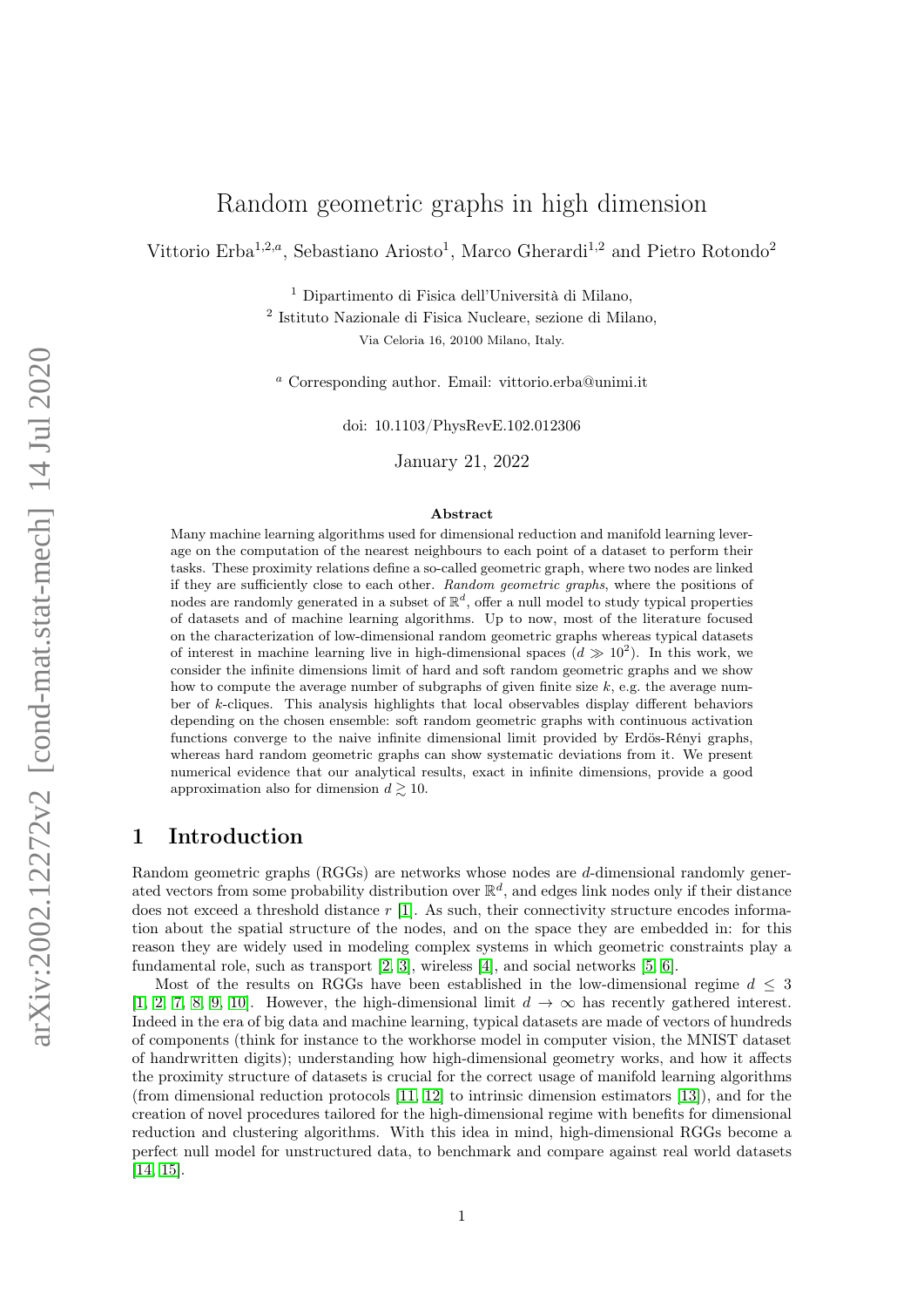# Random geometric graphs in high dimension

Vittorio Erba<sup>1,2,a</sup>, Sebastiano Ariosto<sup>1</sup>, Marco Gherardi<sup>1,2</sup> and Pietro Rotondo<sup>2</sup>

<sup>1</sup> Dipartimento di Fisica dell'Università di Milano,

2 Istituto Nazionale di Fisica Nucleare, sezione di Milano,

Via Celoria 16, 20100 Milano, Italy.

<sup>a</sup> Corresponding author. Email: vittorio.erba@unimi.it

doi: 10.1103/PhysRevE.102.012306

January 21, 2022

#### Abstract

Many machine learning algorithms used for dimensional reduction and manifold learning leverage on the computation of the nearest neighbours to each point of a dataset to perform their tasks. These proximity relations define a so-called geometric graph, where two nodes are linked if they are sufficiently close to each other. Random geometric graphs, where the positions of nodes are randomly generated in a subset of  $\mathbb{R}^d$ , offer a null model to study typical properties of datasets and of machine learning algorithms. Up to now, most of the literature focused on the characterization of low-dimensional random geometric graphs whereas typical datasets of interest in machine learning live in high-dimensional spaces  $(d \gg 10^2)$ . In this work, we consider the infinite dimensions limit of hard and soft random geometric graphs and we show how to compute the average number of subgraphs of given finite size  $k$ , e.g. the average number of k-cliques. This analysis highlights that local observables display different behaviors depending on the chosen ensemble: soft random geometric graphs with continuous activation functions converge to the naive infinite dimensional limit provided by Erdös-Rényi graphs, whereas hard random geometric graphs can show systematic deviations from it. We present numerical evidence that our analytical results, exact in infinite dimensions, provide a good approximation also for dimension  $d \gtrsim 10$ .

## 1 Introduction

Random geometric graphs (RGGs) are networks whose nodes are d-dimensional randomly generated vectors from some probability distribution over  $\mathbb{R}^d$ , and edges link nodes only if their distance does not exceed a threshold distance  $r$  [\[1\]](#page-9-0). As such, their connectivity structure encodes information about the spatial structure of the nodes, and on the space they are embedded in: for this reason they are widely used in modeling complex systems in which geometric constraints play a fundamental role, such as transport  $[2, 3]$  $[2, 3]$ , wireless  $[4]$ , and social networks  $[5, 6]$  $[5, 6]$ .

Most of the results on RGGs have been established in the low-dimensional regime  $d \leq 3$ [\[1,](#page-9-0) [2,](#page-9-1) [7,](#page-9-6) [8,](#page-9-7) [9,](#page-9-8) [10\]](#page-9-9). However, the high-dimensional limit  $d \to \infty$  has recently gathered interest. Indeed in the era of big data and machine learning, typical datasets are made of vectors of hundreds of components (think for instance to the workhorse model in computer vision, the MNIST dataset of handrwritten digits); understanding how high-dimensional geometry works, and how it affects the proximity structure of datasets is crucial for the correct usage of manifold learning algorithms (from dimensional reduction protocols [\[11,](#page-9-10) [12\]](#page-9-11) to intrinsic dimension estimators [\[13\]](#page-9-12)), and for the creation of novel procedures tailored for the high-dimensional regime with benefits for dimensional reduction and clustering algorithms. With this idea in mind, high-dimensional RGGs become a perfect null model for unstructured data, to benchmark and compare against real world datasets [\[14,](#page-9-13) [15\]](#page-9-14).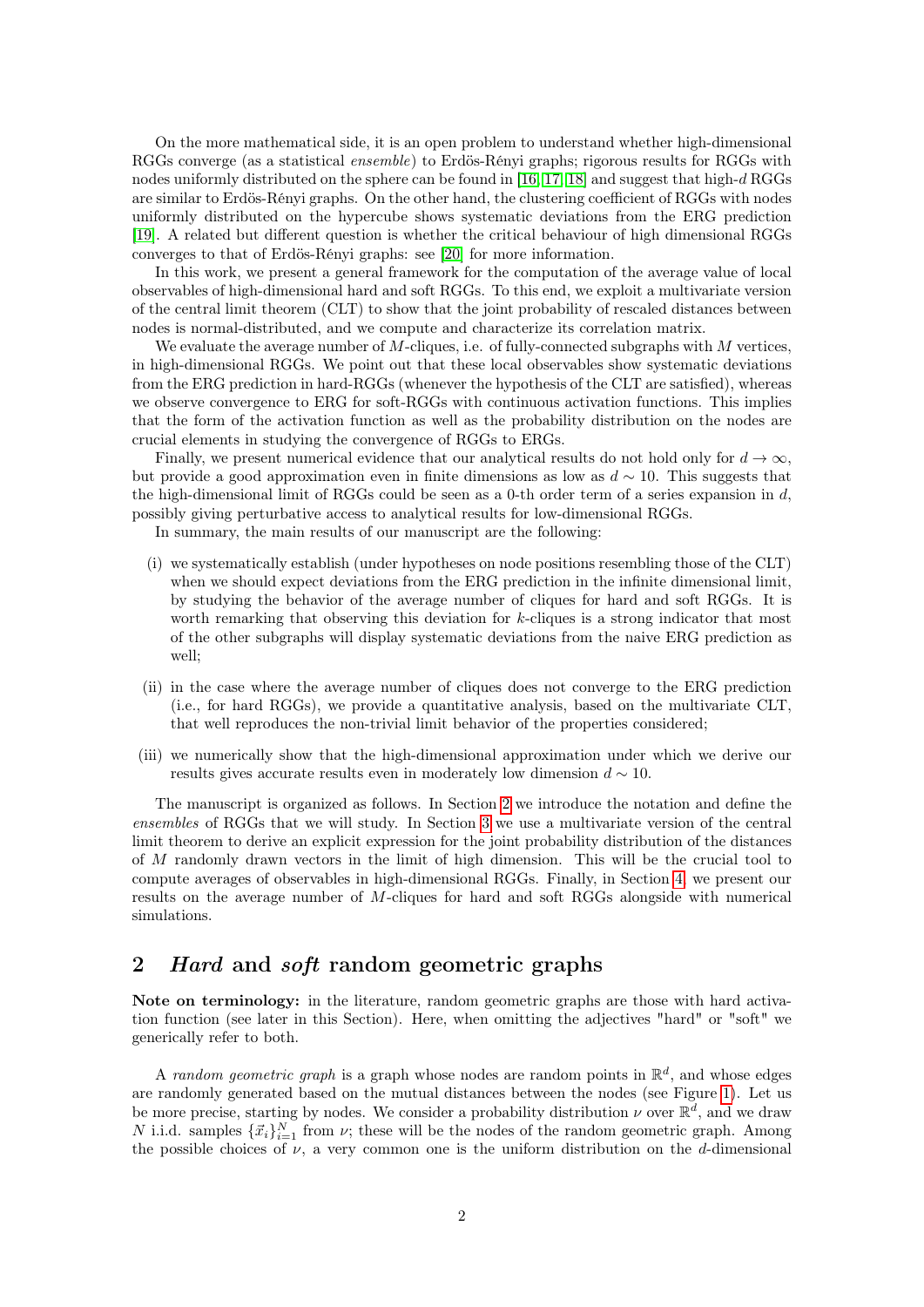On the more mathematical side, it is an open problem to understand whether high-dimensional RGGs converge (as a statistical *ensemble*) to Erdös-Rényi graphs; rigorous results for RGGs with nodes uniformly distributed on the sphere can be found in  $[16, 17, 18]$  $[16, 17, 18]$  $[16, 17, 18]$  and suggest that high-d RGGs are similar to Erdös-Rényi graphs. On the other hand, the clustering coefficient of RGGs with nodes uniformly distributed on the hypercube shows systematic deviations from the ERG prediction [\[19\]](#page-10-0). A related but different question is whether the critical behaviour of high dimensional RGGs converges to that of Erdös-Rényi graphs: see [\[20\]](#page-10-1) for more information.

In this work, we present a general framework for the computation of the average value of local observables of high-dimensional hard and soft RGGs. To this end, we exploit a multivariate version of the central limit theorem (CLT) to show that the joint probability of rescaled distances between nodes is normal-distributed, and we compute and characterize its correlation matrix.

We evaluate the average number of  $M$ -cliques, i.e. of fully-connected subgraphs with  $M$  vertices, in high-dimensional RGGs. We point out that these local observables show systematic deviations from the ERG prediction in hard-RGGs (whenever the hypothesis of the CLT are satisfied), whereas we observe convergence to ERG for soft-RGGs with continuous activation functions. This implies that the form of the activation function as well as the probability distribution on the nodes are crucial elements in studying the convergence of RGGs to ERGs.

Finally, we present numerical evidence that our analytical results do not hold only for  $d \to \infty$ , but provide a good approximation even in finite dimensions as low as  $d \sim 10$ . This suggests that the high-dimensional limit of RGGs could be seen as a 0-th order term of a series expansion in  $d$ , possibly giving perturbative access to analytical results for low-dimensional RGGs.

In summary, the main results of our manuscript are the following:

- (i) we systematically establish (under hypotheses on node positions resembling those of the CLT) when we should expect deviations from the ERG prediction in the infinite dimensional limit, by studying the behavior of the average number of cliques for hard and soft RGGs. It is worth remarking that observing this deviation for k-cliques is a strong indicator that most of the other subgraphs will display systematic deviations from the naive ERG prediction as well;
- (ii) in the case where the average number of cliques does not converge to the ERG prediction (i.e., for hard RGGs), we provide a quantitative analysis, based on the multivariate CLT, that well reproduces the non-trivial limit behavior of the properties considered;
- (iii) we numerically show that the high-dimensional approximation under which we derive our results gives accurate results even in moderately low dimension  $d \sim 10$ .

The manuscript is organized as follows. In Section [2](#page-1-0) we introduce the notation and define the ensembles of RGGs that we will study. In Section [3](#page-3-0) we use a multivariate version of the central limit theorem to derive an explicit expression for the joint probability distribution of the distances of M randomly drawn vectors in the limit of high dimension. This will be the crucial tool to compute averages of observables in high-dimensional RGGs. Finally, in Section [4,](#page-5-0) we present our results on the average number of M-cliques for hard and soft RGGs alongside with numerical simulations.

## <span id="page-1-0"></span>2 *Hard* and *soft* random geometric graphs

Note on terminology: in the literature, random geometric graphs are those with hard activation function (see later in this Section). Here, when omitting the adjectives "hard" or "soft" we generically refer to both.

A random geometric graph is a graph whose nodes are random points in  $\mathbb{R}^d$ , and whose edges are randomly generated based on the mutual distances between the nodes (see Figure [1\)](#page-2-0). Let us be more precise, starting by nodes. We consider a probability distribution  $\nu$  over  $\mathbb{R}^d$ , and we draw N i.i.d. samples  $\{\vec{x}_i\}_{i=1}^N$  from  $\nu$ ; these will be the nodes of the random geometric graph. Among the possible choices of  $\nu$ , a very common one is the uniform distribution on the d-dimensional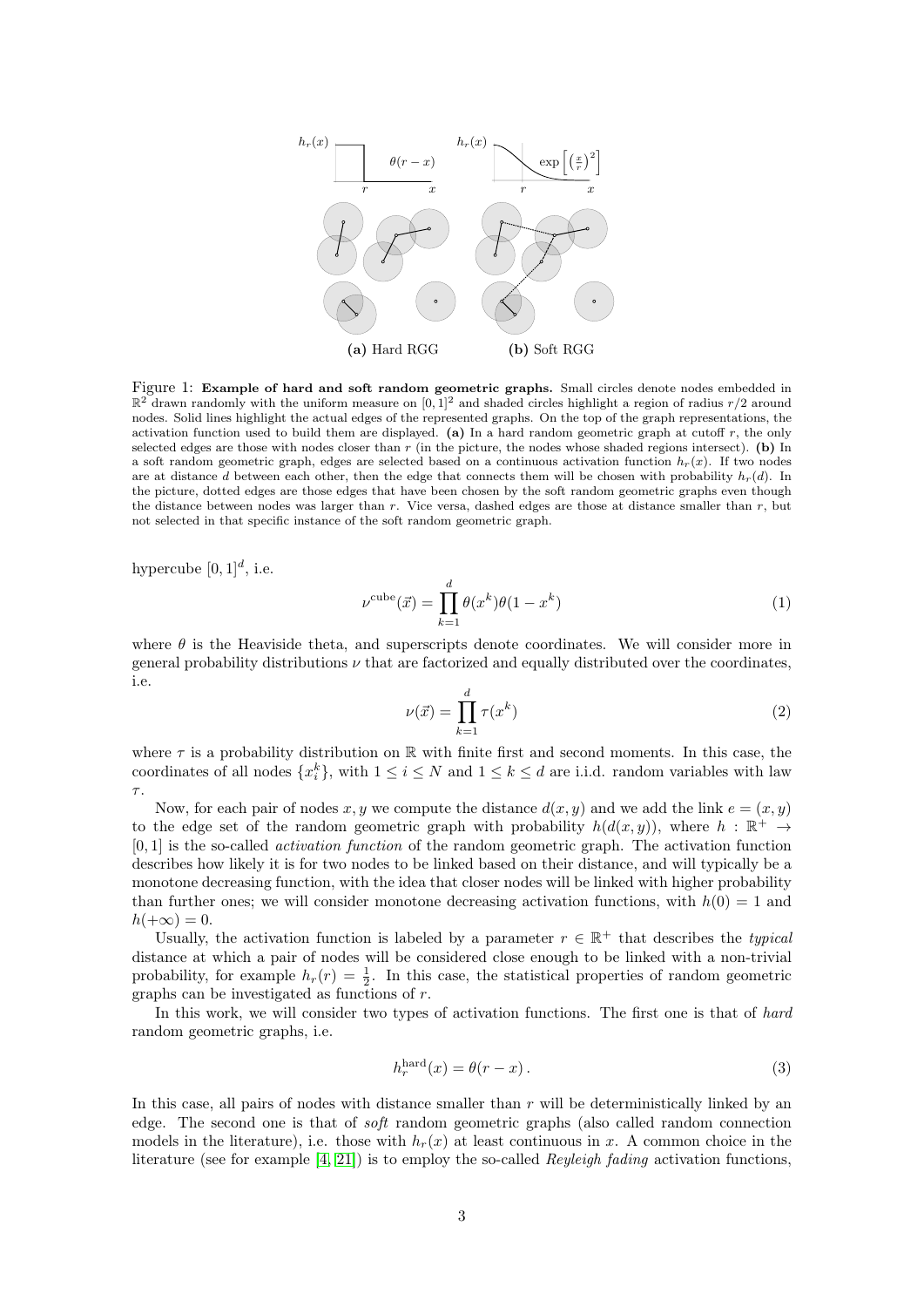

<span id="page-2-0"></span>Figure 1: Example of hard and soft random geometric graphs. Small circles denote nodes embedded in  $\mathbb{R}^2$  drawn randomly with the uniform measure on [0,1]<sup>2</sup> and shaded circles highlight a region of radius  $r/2$  around nodes. Solid lines highlight the actual edges of the represented graphs. On the top of the graph representations, the activation function used to build them are displayed. (a) In a hard random geometric graph at cutoff  $r$ , the only selected edges are those with nodes closer than  $r$  (in the picture, the nodes whose shaded regions intersect). (b) In a soft random geometric graph, edges are selected based on a continuous activation function  $h_r(x)$ . If two nodes are at distance d between each other, then the edge that connects them will be chosen with probability  $h_r(d)$ . In the picture, dotted edges are those edges that have been chosen by the soft random geometric graphs even though the distance between nodes was larger than r. Vice versa, dashed edges are those at distance smaller than r, but not selected in that specific instance of the soft random geometric graph.

hypercube  $[0,1]^d$ , i.e.

$$
\nu^{\text{cube}}(\vec{x}) = \prod_{k=1}^{d} \theta(x^k) \theta(1 - x^k)
$$
\n(1)

<span id="page-2-1"></span>where  $\theta$  is the Heaviside theta, and superscripts denote coordinates. We will consider more in general probability distributions  $\nu$  that are factorized and equally distributed over the coordinates, i.e.

$$
\nu(\vec{x}) = \prod_{k=1}^{d} \tau(x^k)
$$
\n(2)

where  $\tau$  is a probability distribution on R with finite first and second moments. In this case, the coordinates of all nodes  $\{x_i^k\}$ , with  $1 \leq i \leq N$  and  $1 \leq k \leq d$  are i.i.d. random variables with law  $\tau$ .

Now, for each pair of nodes x, y we compute the distance  $d(x, y)$  and we add the link  $e = (x, y)$ to the edge set of the random geometric graph with probability  $h(d(x, y))$ , where  $h : \mathbb{R}^+ \to$ [0, 1] is the so-called activation function of the random geometric graph. The activation function describes how likely it is for two nodes to be linked based on their distance, and will typically be a monotone decreasing function, with the idea that closer nodes will be linked with higher probability than further ones; we will consider monotone decreasing activation functions, with  $h(0) = 1$  and  $h(+\infty)=0.$ 

Usually, the activation function is labeled by a parameter  $r \in \mathbb{R}^+$  that describes the typical distance at which a pair of nodes will be considered close enough to be linked with a non-trivial probability, for example  $h_r(r) = \frac{1}{2}$ . In this case, the statistical properties of random geometric graphs can be investigated as functions of r.

In this work, we will consider two types of activation functions. The first one is that of hard random geometric graphs, i.e.

$$
h_r^{\text{hard}}(x) = \theta(r - x). \tag{3}
$$

In this case, all pairs of nodes with distance smaller than  $r$  will be deterministically linked by an edge. The second one is that of soft random geometric graphs (also called random connection models in the literature), i.e. those with  $h_r(x)$  at least continuous in x. A common choice in the literature (see for example [\[4,](#page-9-3) [21\]](#page-10-2)) is to employ the so-called Reyleigh fading activation functions,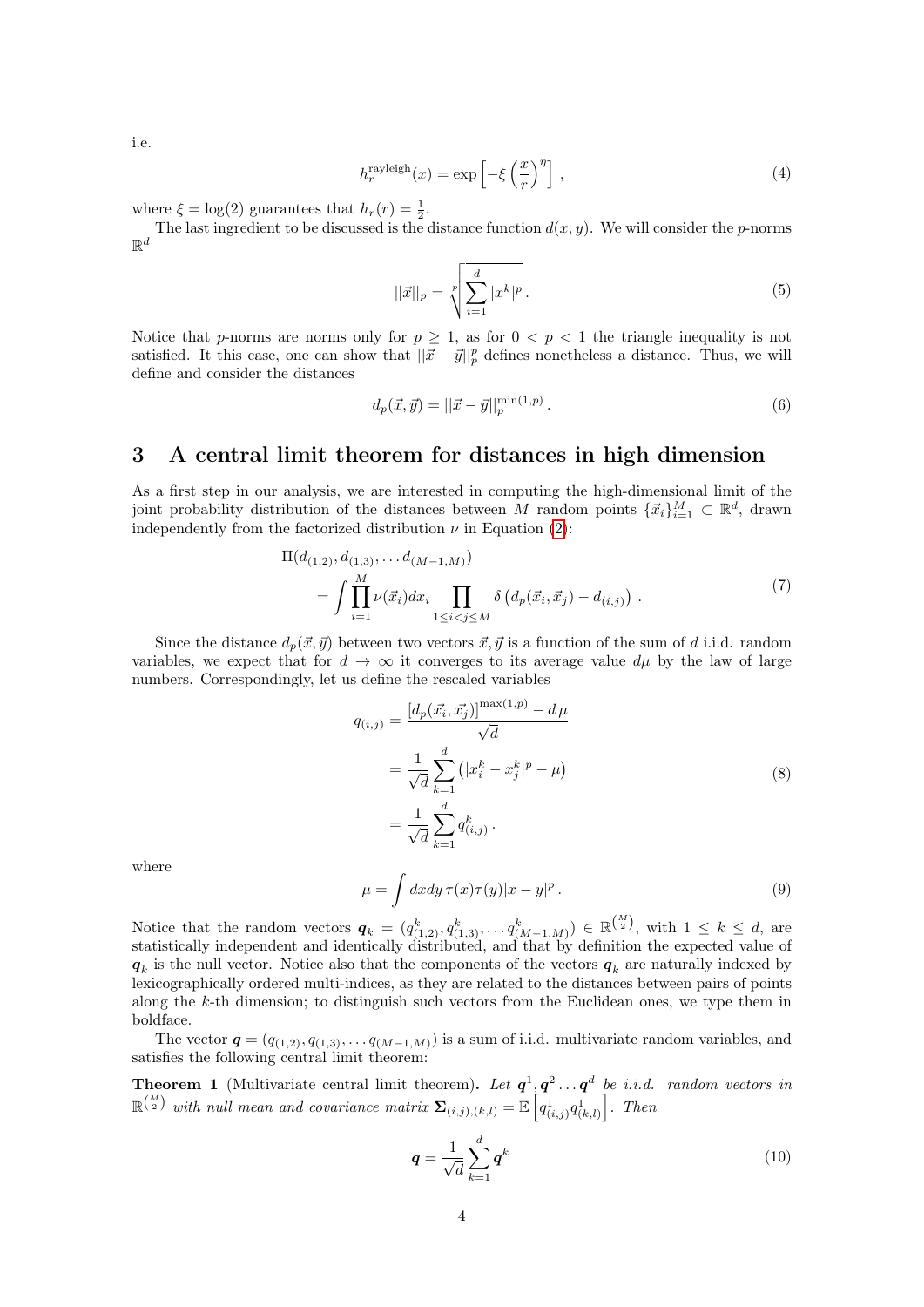i.e.

$$
h_r^{\text{rayleigh}}(x) = \exp\left[-\xi \left(\frac{x}{r}\right)^{\eta}\right],\tag{4}
$$

where  $\xi = \log(2)$  guarantees that  $h_r(r) = \frac{1}{2}$ .

The last ingredient to be discussed is the distance function  $d(x, y)$ . We will consider the *p*-norms  $\mathbb{R}^d$ 

$$
||\vec{x}||_p = \sqrt[p]{\sum_{i=1}^d |x^k|^p}.
$$
\n(5)

Notice that p-norms are norms only for  $p \geq 1$ , as for  $0 < p < 1$  the triangle inequality is not satisfied. It this case, one can show that  $||\vec{x} - \vec{y}||_p^p$  defines nonetheless a distance. Thus, we will define and consider the distances

<span id="page-3-1"></span>
$$
d_p(\vec{x}, \vec{y}) = ||\vec{x} - \vec{y}||_p^{\min(1, p)}.
$$
\n(6)

## <span id="page-3-0"></span>3 A central limit theorem for distances in high dimension

As a first step in our analysis, we are interested in computing the high-dimensional limit of the joint probability distribution of the distances between M random points  $\{\vec{x}_i\}_{i=1}^M \subset \mathbb{R}^d$ , drawn independently from the factorized distribution  $\nu$  in Equation [\(2\)](#page-2-1):

$$
\Pi(d_{(1,2)}, d_{(1,3)}, \dots d_{(M-1,M)})
$$
\n
$$
= \int \prod_{i=1}^{M} \nu(\vec{x}_i) dx_i \prod_{1 \le i < j \le M} \delta\left(d_p(\vec{x}_i, \vec{x}_j) - d_{(i,j)}\right) \,. \tag{7}
$$

Since the distance  $d_p(\vec{x}, \vec{y})$  between two vectors  $\vec{x}, \vec{y}$  is a function of the sum of d i.i.d. random variables, we expect that for  $d \to \infty$  it converges to its average value  $d\mu$  by the law of large numbers. Correspondingly, let us define the rescaled variables

<span id="page-3-2"></span>
$$
q_{(i,j)} = \frac{[d_p(\vec{x_i}, \vec{x_j})]^{\max(1, p)} - d\,\mu}{\sqrt{d}}
$$
  
= 
$$
\frac{1}{\sqrt{d}} \sum_{k=1}^d (|x_i^k - x_j^k|^p - \mu)
$$
  
= 
$$
\frac{1}{\sqrt{d}} \sum_{k=1}^d q_{(i,j)}^k.
$$
 (8)

where

$$
\mu = \int dx dy \,\tau(x)\tau(y)|x - y|^p. \tag{9}
$$

Notice that the random vectors  $q_k = (q_{(1,2)}^k, q_{(1,3)}^k, \ldots, q_{(M-1,M)}^k) \in \mathbb{R}^{\binom{M}{2}}$ , with  $1 \leq k \leq d$ , are statistically independent and identically distributed, and that by definition the expected value of  $q_k$  is the null vector. Notice also that the components of the vectors  $q_k$  are naturally indexed by lexicographically ordered multi-indices, as they are related to the distances between pairs of points along the k-th dimension; to distinguish such vectors from the Euclidean ones, we type them in boldface.

The vector  $\mathbf{q} = (q_{(1,2)}, q_{(1,3)}, \ldots, q_{(M-1,M)})$  is a sum of i.i.d. multivariate random variables, and satisfies the following central limit theorem:

<span id="page-3-3"></span>**Theorem 1** (Multivariate central limit theorem). Let  $q^1, q^2 \dots q^d$  be i.i.d. random vectors in  $\mathbb{R}^{\binom{M}{2}}$  with null mean and covariance matrix  $\mathbf{\Sigma}_{(i,j),(k,l)} = \mathbb{E}\left[q_{(i,j)}^1q_{(k,l)}^1\right]$ . Then

$$
\boldsymbol{q} = \frac{1}{\sqrt{d}} \sum_{k=1}^{d} \boldsymbol{q}^k
$$
\n(10)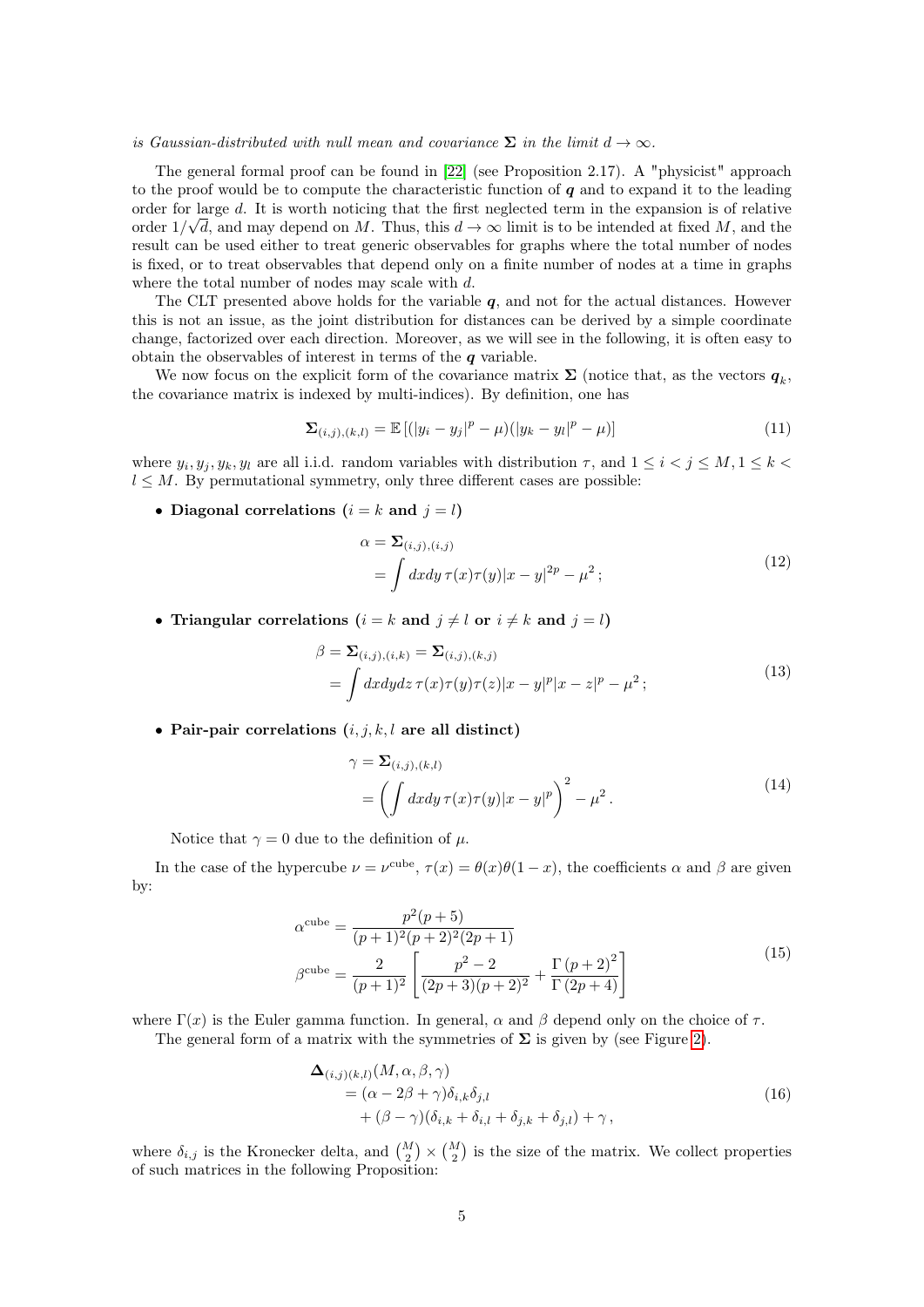#### is Gaussian-distributed with null mean and covariance  $\Sigma$  in the limit  $d \to \infty$ .

The general formal proof can be found in [\[22\]](#page-10-3) (see Proposition 2.17). A "physicist" approach to the proof would be to compute the characteristic function of  $q$  and to expand it to the leading order for large d. It is worth noticing that the first neglected term in the expansion is of relative order  $1/\sqrt{d}$ , and may depend on M. Thus, this  $d \to \infty$  limit is to be intended at fixed M, and the result can be used either to treat generic observables for graphs where the total number of nodes is fixed, or to treat observables that depend only on a finite number of nodes at a time in graphs where the total number of nodes may scale with  $d$ .

The CLT presented above holds for the variable  $q$ , and not for the actual distances. However this is not an issue, as the joint distribution for distances can be derived by a simple coordinate change, factorized over each direction. Moreover, as we will see in the following, it is often easy to obtain the observables of interest in terms of the  $q$  variable.

We now focus on the explicit form of the covariance matrix  $\Sigma$  (notice that, as the vectors  $q_k$ , the covariance matrix is indexed by multi-indices). By definition, one has

$$
\Sigma_{(i,j),(k,l)} = \mathbb{E}\left[ (|y_i - y_j|^p - \mu)(|y_k - y_l|^p - \mu) \right] \tag{11}
$$

where  $y_i, y_j, y_k, y_l$  are all i.i.d. random variables with distribution  $\tau$ , and  $1 \leq i < j \leq M, 1 \leq k <$  $l \leq M$ . By permutational symmetry, only three different cases are possible:

• Diagonal correlations  $(i = k \text{ and } j = l)$ 

<span id="page-4-1"></span>
$$
\alpha = \sum_{(i,j),(i,j)} \n= \int dx dy \,\tau(x)\tau(y)|x-y|^{2p} - \mu^2 ;
$$
\n(12)

• Triangular correlations ( $i = k$  and  $j \neq l$  or  $i \neq k$  and  $j = l$ )

$$
\beta = \sum_{(i,j),(i,k)} = \sum_{(i,j),(k,j)} \n= \int dx dy dz \,\tau(x)\tau(y)\tau(z)|x-y|^p|x-z|^p - \mu^2 ;
$$
\n(13)

• Pair-pair correlations  $(i, j, k, l$  are all distinct)

$$
\gamma = \Sigma_{(i,j),(k,l)} \n= \left( \int dx dy \,\tau(x)\tau(y)|x-y|^p \right)^2 - \mu^2.
$$
\n(14)

Notice that  $\gamma = 0$  due to the definition of  $\mu$ .

In the case of the hypercube  $\nu = \nu^{\text{cube}}$ ,  $\tau(x) = \theta(x)\theta(1-x)$ , the coefficients  $\alpha$  and  $\beta$  are given by:

$$
\alpha^{\text{cube}} = \frac{p^2(p+5)}{(p+1)^2(p+2)^2(2p+1)}
$$

$$
\beta^{\text{cube}} = \frac{2}{(p+1)^2} \left[ \frac{p^2-2}{(2p+3)(p+2)^2} + \frac{\Gamma(p+2)^2}{\Gamma(2p+4)} \right]
$$
(15)

where  $\Gamma(x)$  is the Euler gamma function. In general,  $\alpha$  and  $\beta$  depend only on the choice of  $\tau$ .

The general form of a matrix with the symmetries of  $\Sigma$  is given by (see Figure [2\)](#page-5-1).

<span id="page-4-0"></span>
$$
\begin{aligned} \n\Delta_{(i,j)(k,l)}(M,\alpha,\beta,\gamma) \\
&= (\alpha - 2\beta + \gamma)\delta_{i,k}\delta_{j,l} \\
&\quad + (\beta - \gamma)(\delta_{i,k} + \delta_{i,l} + \delta_{j,k} + \delta_{j,l}) + \gamma \,, \n\end{aligned} \tag{16}
$$

where  $\delta_{i,j}$  is the Kronecker delta, and  $\binom{M}{2} \times \binom{M}{2}$  is the size of the matrix. We collect properties of such matrices in the following Proposition: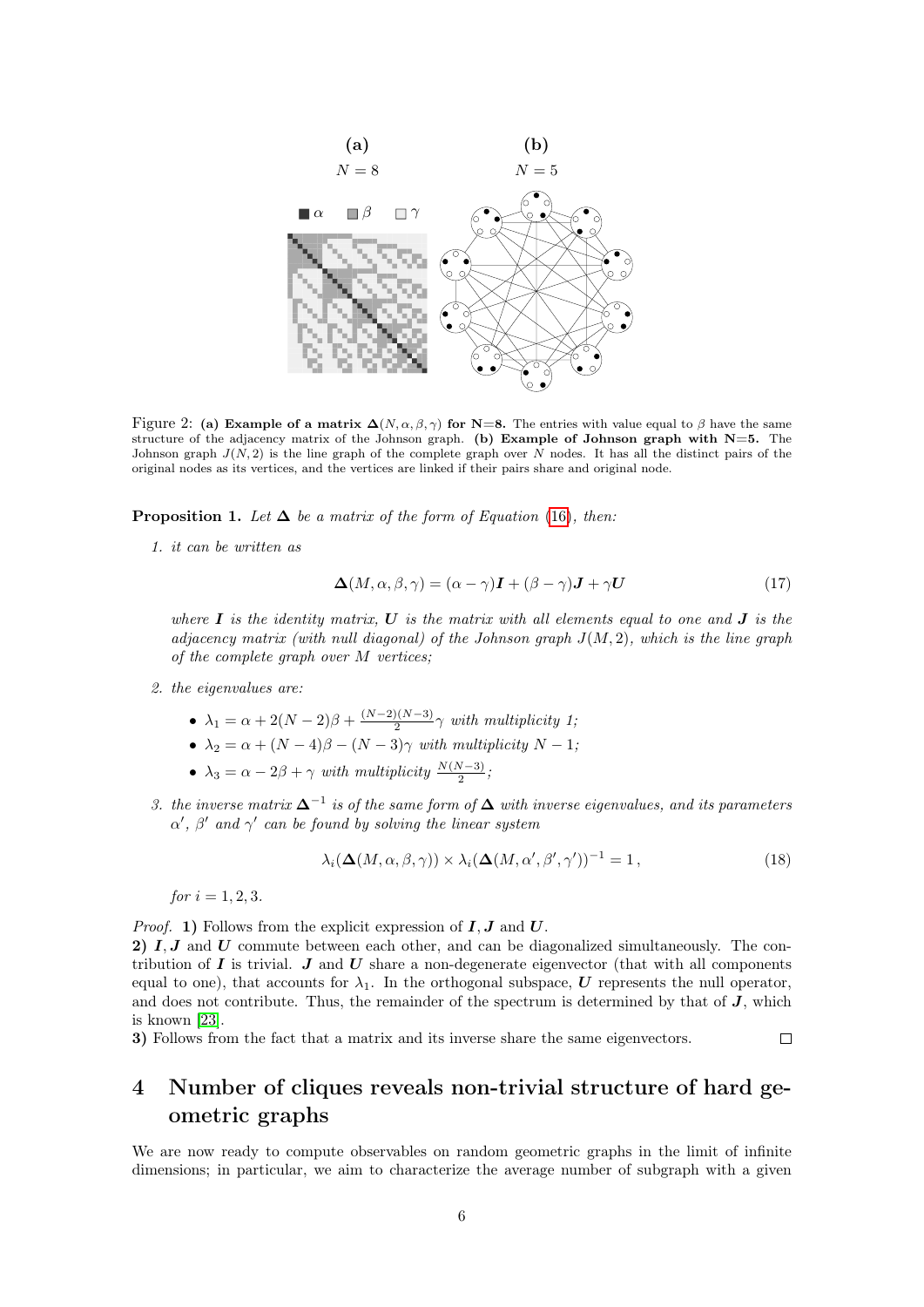

<span id="page-5-1"></span>Figure 2: (a) Example of a matrix  $\Delta(N, \alpha, \beta, \gamma)$  for N=8. The entries with value equal to  $\beta$  have the same structure of the adjacency matrix of the Johnson graph. (b) Example of Johnson graph with  $N=5$ . The Johnson graph  $J(N, 2)$  is the line graph of the complete graph over N nodes. It has all the distinct pairs of the original nodes as its vertices, and the vertices are linked if their pairs share and original node.

**Proposition 1.** Let  $\Delta$  be a matrix of the form of Equation [\(16\)](#page-4-0), then:

1. it can be written as

$$
\Delta(M, \alpha, \beta, \gamma) = (\alpha - \gamma)\mathbf{I} + (\beta - \gamma)\mathbf{J} + \gamma \mathbf{U}
$$
\n(17)

where  $\bm{I}$  is the identity matrix,  $\bm{U}$  is the matrix with all elements equal to one and  $\bm{J}$  is the adjacency matrix (with null diagonal) of the Johnson graph  $J(M, 2)$ , which is the line graph of the complete graph over M vertices;

- 2. the eigenvalues are:
	- $\lambda_1 = \alpha + 2(N-2)\beta + \frac{(N-2)(N-3)}{2}$  $\frac{2(1N-3)}{2}\gamma$  with multiplicity 1;
	- $\lambda_2 = \alpha + (N-4)\beta (N-3)\gamma$  with multiplicity  $N-1$ ;
	- $\lambda_3 = \alpha 2\beta + \gamma$  with multiplicity  $\frac{N(N-3)}{2}$ ;
- 3. the inverse matrix  $\Delta^{-1}$  is of the same form of  $\Delta$  with inverse eigenvalues, and its parameters  $\alpha'$ ,  $\beta'$  and  $\gamma'$  can be found by solving the linear system

$$
\lambda_i(\Delta(M, \alpha, \beta, \gamma)) \times \lambda_i(\Delta(M, \alpha', \beta', \gamma'))^{-1} = 1, \qquad (18)
$$

 $\Box$ 

for  $i = 1, 2, 3$ .

*Proof.* 1) Follows from the explicit expression of  $I, J$  and  $U$ . 2) I, J and U commute between each other, and can be diagonalized simultaneously. The contribution of  $I$  is trivial.  $J$  and  $U$  share a non-degenerate eigenvector (that with all components equal to one), that accounts for  $\lambda_1$ . In the orthogonal subspace, U represents the null operator, and does not contribute. Thus, the remainder of the spectrum is determined by that of  $J$ , which is known [\[23\]](#page-10-4).

3) Follows from the fact that a matrix and its inverse share the same eigenvectors.

# <span id="page-5-0"></span>4 Number of cliques reveals non-trivial structure of hard geometric graphs

We are now ready to compute observables on random geometric graphs in the limit of infinite dimensions; in particular, we aim to characterize the average number of subgraph with a given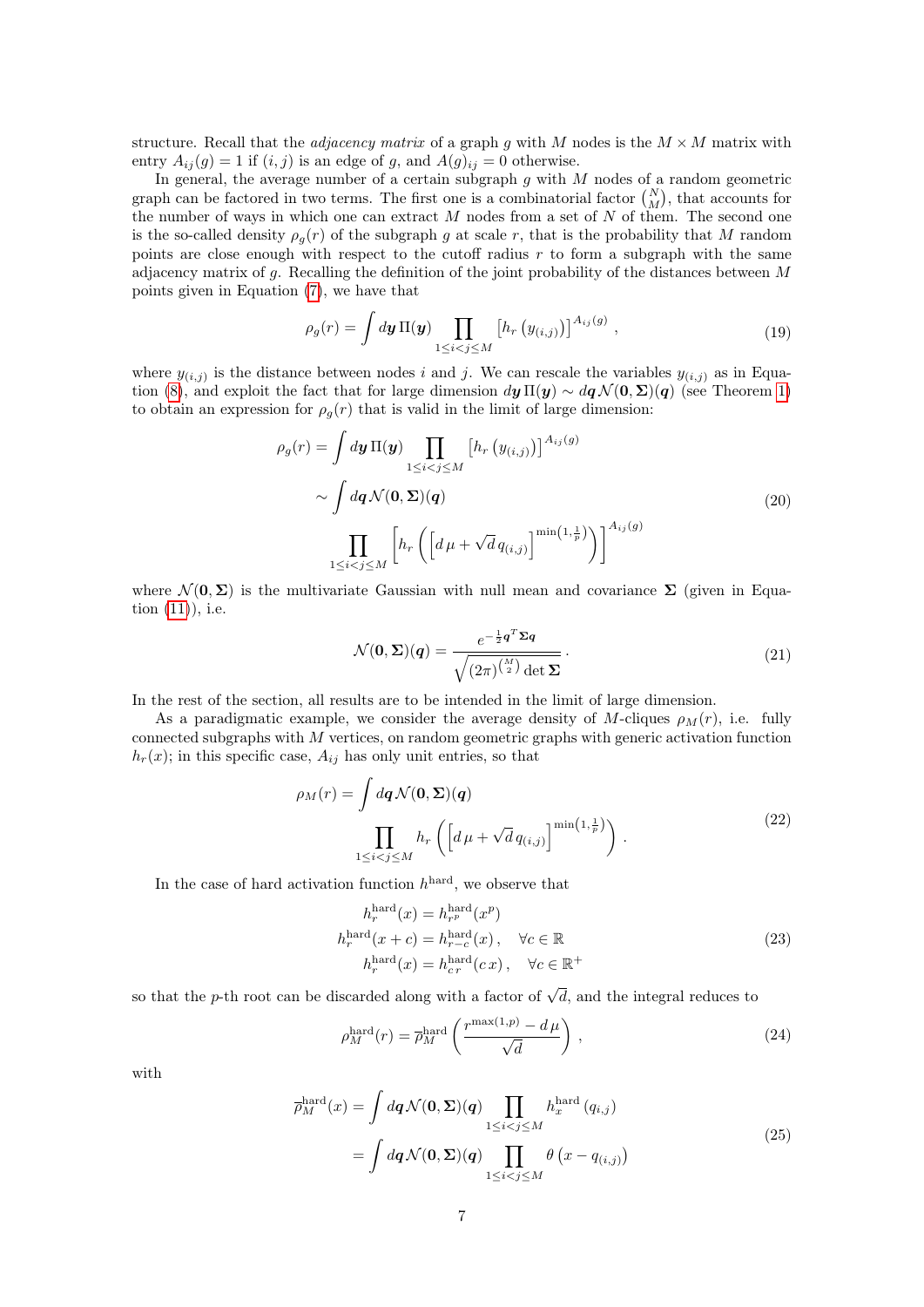structure. Recall that the *adjacency matrix* of a graph g with M nodes is the  $M \times M$  matrix with entry  $A_{ij}(g) = 1$  if  $(i, j)$  is an edge of g, and  $A(g)_{ij} = 0$  otherwise.

In general, the average number of a certain subgraph  $g$  with  $M$  nodes of a random geometric graph can be factored in two terms. The first one is a combinatorial factor  $\binom{N}{M}$ , that accounts for the number of ways in which one can extract  $M$  nodes from a set of  $N$  of them. The second one is the so-called density  $\rho_q(r)$  of the subgraph g at scale r, that is the probability that M random points are close enough with respect to the cutoff radius  $r$  to form a subgraph with the same adjacency matrix of g. Recalling the definition of the joint probability of the distances between M points given in Equation [\(7\)](#page-3-1), we have that

$$
\rho_g(r) = \int d\mathbf{y} \, \Pi(\mathbf{y}) \prod_{1 \leq i < j \leq M} \left[ h_r \left( y_{(i,j)} \right) \right]^{A_{ij}(g)},\tag{19}
$$

where  $y_{(i,j)}$  is the distance between nodes i and j. We can rescale the variables  $y_{(i,j)}$  as in Equa-tion [\(8\)](#page-3-2), and exploit the fact that for large dimension  $dy \Pi(y) \sim dq \mathcal{N}(0, \Sigma)(q)$  (see Theorem [1\)](#page-3-3) to obtain an expression for  $\rho_q(r)$  that is valid in the limit of large dimension:

$$
\rho_g(r) = \int d\mathbf{y} \, \Pi(\mathbf{y}) \prod_{1 \leq i < j \leq M} \left[ h_r \left( y_{(i,j)} \right) \right]^{A_{ij}(g)} \\
\sim \int d\mathbf{q} \, \mathcal{N}(\mathbf{0}, \Sigma)(\mathbf{q}) \tag{20}
$$
\n
$$
\prod_{1 \leq i < j \leq M} \left[ h_r \left( \left[ d\mu + \sqrt{d} \, q_{(i,j)} \right]^{min\left(1, \frac{1}{p}\right)} \right) \right]^{A_{ij}(g)}
$$

where  $\mathcal{N}(\mathbf{0}, \Sigma)$  is the multivariate Gaussian with null mean and covariance  $\Sigma$  (given in Equation [\(11\)](#page-4-1)), i.e.

$$
\mathcal{N}(\mathbf{0}, \Sigma)(q) = \frac{e^{-\frac{1}{2}q^T \Sigma q}}{\sqrt{(2\pi)^{\binom{M}{2}} \det \Sigma}}.
$$
\n(21)

In the rest of the section, all results are to be intended in the limit of large dimension.

As a paradigmatic example, we consider the average density of M-cliques  $\rho_M(r)$ , i.e. fully connected subgraphs with  $M$  vertices, on random geometric graphs with generic activation function  $h_r(x)$ ; in this specific case,  $A_{ij}$  has only unit entries, so that

$$
\rho_M(r) = \int dq \mathcal{N}(\mathbf{0}, \Sigma)(q)
$$

$$
\prod_{1 \le i < j \le M} h_r \left( \left[ d\mu + \sqrt{d} \, q_{(i,j)} \right]^{\min\left(1, \frac{1}{p}\right)} \right). \tag{22}
$$

In the case of hard activation function  $h^{\text{hard}}$ , we observe that

$$
h_r^{\text{hard}}(x) = h_{r}^{\text{hard}}(x^p)
$$
  
\n
$$
h_r^{\text{hard}}(x+c) = h_{r-c}^{\text{hard}}(x), \quad \forall c \in \mathbb{R}
$$
  
\n
$$
h_r^{\text{hard}}(x) = h_{cr}^{\text{hard}}(cx), \quad \forall c \in \mathbb{R}^+
$$
\n(23)

so that the *p*-th root can be discarded along with a factor of  $\sqrt{d}$ , and the integral reduces to

<span id="page-6-1"></span>
$$
\rho_M^{\text{hard}}(r) = \overline{\rho}_M^{\text{hard}}\left(\frac{r^{\max(1,p)} - d\,\mu}{\sqrt{d}}\right) \,,\tag{24}
$$

<span id="page-6-0"></span>with

$$
\overline{\rho}_{M}^{\text{hard}}(x) = \int d\mathbf{q} \mathcal{N}(\mathbf{0}, \Sigma)(\mathbf{q}) \prod_{1 \leq i < j \leq M} h_{x}^{\text{hard}}(q_{i,j})
$$
\n
$$
= \int d\mathbf{q} \mathcal{N}(\mathbf{0}, \Sigma)(\mathbf{q}) \prod_{1 \leq i < j \leq M} \theta\left(x - q_{(i,j)}\right) \tag{25}
$$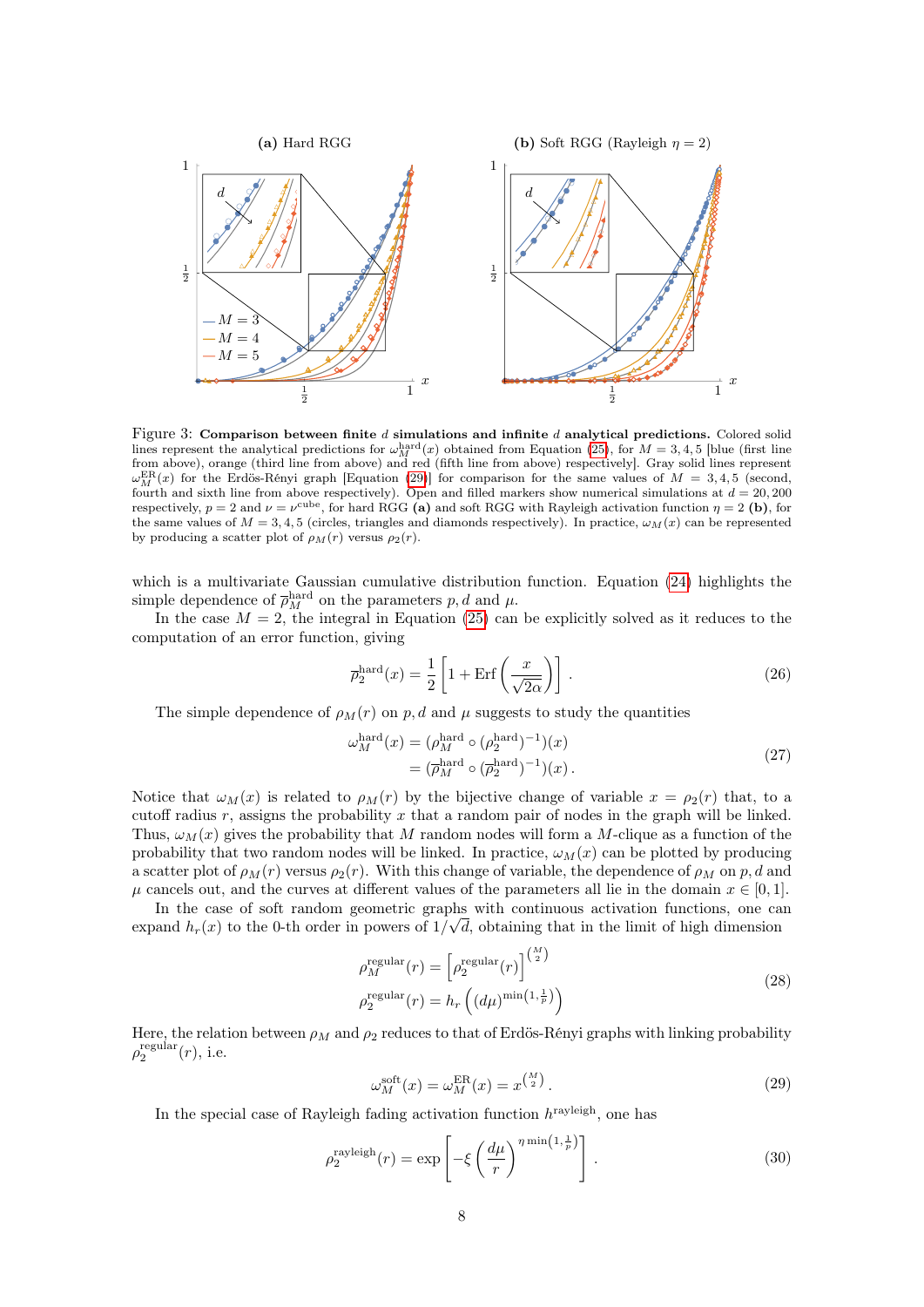

<span id="page-7-1"></span>Figure 3: Comparison between finite  $d$  simulations and infinite  $d$  analytical predictions. Colored solid lines represent the analytical predictions for  $\omega_M^{\text{hard}}(x)$  obtained from Equation [\(25\)](#page-6-0), for  $M = 3, 4, 5$  [blue (first line from above), orange (third line from above) and red (fifth line from above) respectively]. Gray solid lines represent  $\omega_M^{\text{ER}}(x)$  for the Erdös-Rényi graph [Equation [\(29\)](#page-7-0)] for comparison for the same values of  $M = 3, 4, 5$  (second, fourth and sixth line from above respectively). Open and filled markers show numerical simulations at  $d = 20,200$ respectively,  $p = 2$  and  $\nu = \nu^{\text{cube}}$ , for hard RGG (a) and soft RGG with Rayleigh activation function  $\eta = 2$  (b), for the same values of  $M = 3, 4, 5$  (circles, triangles and diamonds respectively). In practice,  $\omega_M(x)$  can be represented by producing a scatter plot of  $\rho_M(r)$  versus  $\rho_2(r)$ .

which is a multivariate Gaussian cumulative distribution function. Equation [\(24\)](#page-6-1) highlights the simple dependence of  $\bar{\rho}_M^{\text{hard}}$  on the parameters  $p, d$  and  $\mu$ .

In the case  $M = 2$ , the integral in Equation [\(25\)](#page-6-0) can be explicitly solved as it reduces to the computation of an error function, giving

$$
\overline{\rho}_2^{\text{hard}}(x) = \frac{1}{2} \left[ 1 + \text{Erf} \left( \frac{x}{\sqrt{2\alpha}} \right) \right]. \tag{26}
$$

The simple dependence of  $\rho_M(r)$  on p, d and  $\mu$  suggests to study the quantities

ω

$$
\begin{aligned} \n\int_{M}^{\text{hard}}(x) &= (\rho_M^{\text{hard}} \circ (\rho_2^{\text{hard}})^{-1})(x) \\ \n&= (\overline{\rho}_M^{\text{hard}} \circ (\overline{\rho}_2^{\text{hard}})^{-1})(x) \,. \n\end{aligned} \tag{27}
$$

Notice that  $\omega_M(x)$  is related to  $\rho_M(r)$  by the bijective change of variable  $x = \rho_2(r)$  that, to a cutoff radius r, assigns the probability x that a random pair of nodes in the graph will be linked. Thus,  $\omega_M(x)$  gives the probability that M random nodes will form a M-clique as a function of the probability that two random nodes will be linked. In practice,  $\omega_M(x)$  can be plotted by producing a scatter plot of  $\rho_M(r)$  versus  $\rho_2(r)$ . With this change of variable, the dependence of  $\rho_M$  on p, d and  $\mu$  cancels out, and the curves at different values of the parameters all lie in the domain  $x \in [0,1]$ .

In the case of soft random geometric graphs with continuous activation functions, one can expand  $h_r(x)$  to the 0-th order in powers of  $1/\sqrt{d}$ , obtaining that in the limit of high dimension

$$
\rho_M^{\text{regular}}(r) = \left[\rho_2^{\text{regular}}(r)\right]^{\binom{M}{2}}
$$
\n
$$
\rho_2^{\text{regular}}(r) = h_r\left((d\mu)^{\min(1,\frac{1}{p})}\right)
$$
\n(28)

<span id="page-7-0"></span>Here, the relation between  $\rho_M$  and  $\rho_2$  reduces to that of Erdös-Rényi graphs with linking probability  $\rho_2^{\text{regular}}(r)$ , i.e.

$$
\omega_M^{\text{soft}}(x) = \omega_M^{\text{ER}}(x) = x^{\binom{M}{2}}.
$$
\n(29)

In the special case of Rayleigh fading activation function  $h^{\text{rayleigh}}$ , one has

$$
\rho_2^{\text{rayleigh}}(r) = \exp\left[-\xi \left(\frac{d\mu}{r}\right)^{\eta \min\left(1, \frac{1}{p}\right)}\right].\tag{30}
$$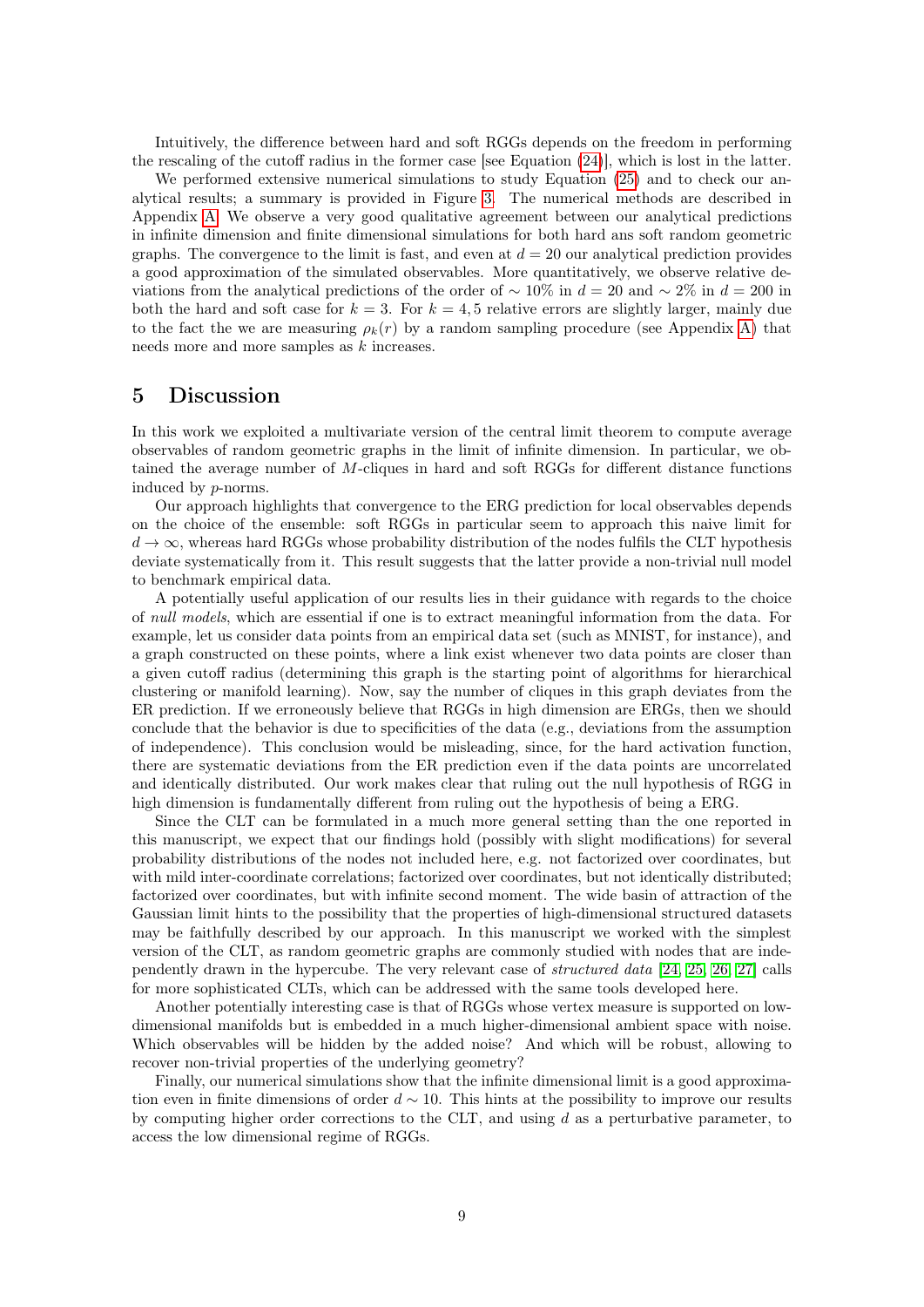Intuitively, the difference between hard and soft RGGs depends on the freedom in performing the rescaling of the cutoff radius in the former case [see Equation [\(24\)](#page-6-1)], which is lost in the latter.

We performed extensive numerical simulations to study Equation [\(25\)](#page-6-0) and to check our analytical results; a summary is provided in Figure [3.](#page-7-1) The numerical methods are described in Appendix [A.](#page-10-5) We observe a very good qualitative agreement between our analytical predictions in infinite dimension and finite dimensional simulations for both hard ans soft random geometric graphs. The convergence to the limit is fast, and even at  $d = 20$  our analytical prediction provides a good approximation of the simulated observables. More quantitatively, we observe relative deviations from the analytical predictions of the order of  $\sim 10\%$  in  $d = 20$  and  $\sim 2\%$  in  $d = 200$  in both the hard and soft case for  $k = 3$ . For  $k = 4, 5$  relative errors are slightly larger, mainly due to the fact the we are measuring  $\rho_k(r)$  by a random sampling procedure (see Appendix [A\)](#page-10-5) that needs more and more samples as k increases.

### 5 Discussion

In this work we exploited a multivariate version of the central limit theorem to compute average observables of random geometric graphs in the limit of infinite dimension. In particular, we obtained the average number of M-cliques in hard and soft RGGs for different distance functions induced by p-norms.

Our approach highlights that convergence to the ERG prediction for local observables depends on the choice of the ensemble: soft RGGs in particular seem to approach this naive limit for  $d \to \infty$ , whereas hard RGGs whose probability distribution of the nodes fulfils the CLT hypothesis deviate systematically from it. This result suggests that the latter provide a non-trivial null model to benchmark empirical data.

A potentially useful application of our results lies in their guidance with regards to the choice of null models, which are essential if one is to extract meaningful information from the data. For example, let us consider data points from an empirical data set (such as MNIST, for instance), and a graph constructed on these points, where a link exist whenever two data points are closer than a given cutoff radius (determining this graph is the starting point of algorithms for hierarchical clustering or manifold learning). Now, say the number of cliques in this graph deviates from the ER prediction. If we erroneously believe that RGGs in high dimension are ERGs, then we should conclude that the behavior is due to specificities of the data (e.g., deviations from the assumption of independence). This conclusion would be misleading, since, for the hard activation function, there are systematic deviations from the ER prediction even if the data points are uncorrelated and identically distributed. Our work makes clear that ruling out the null hypothesis of RGG in high dimension is fundamentally different from ruling out the hypothesis of being a ERG.

Since the CLT can be formulated in a much more general setting than the one reported in this manuscript, we expect that our findings hold (possibly with slight modifications) for several probability distributions of the nodes not included here, e.g. not factorized over coordinates, but with mild inter-coordinate correlations; factorized over coordinates, but not identically distributed; factorized over coordinates, but with infinite second moment. The wide basin of attraction of the Gaussian limit hints to the possibility that the properties of high-dimensional structured datasets may be faithfully described by our approach. In this manuscript we worked with the simplest version of the CLT, as random geometric graphs are commonly studied with nodes that are independently drawn in the hypercube. The very relevant case of structured data [\[24,](#page-10-6) [25,](#page-10-7) [26,](#page-10-8) [27\]](#page-10-9) calls for more sophisticated CLTs, which can be addressed with the same tools developed here.

Another potentially interesting case is that of RGGs whose vertex measure is supported on lowdimensional manifolds but is embedded in a much higher-dimensional ambient space with noise. Which observables will be hidden by the added noise? And which will be robust, allowing to recover non-trivial properties of the underlying geometry?

Finally, our numerical simulations show that the infinite dimensional limit is a good approximation even in finite dimensions of order  $d \sim 10$ . This hints at the possibility to improve our results by computing higher order corrections to the CLT, and using  $d$  as a perturbative parameter, to access the low dimensional regime of RGGs.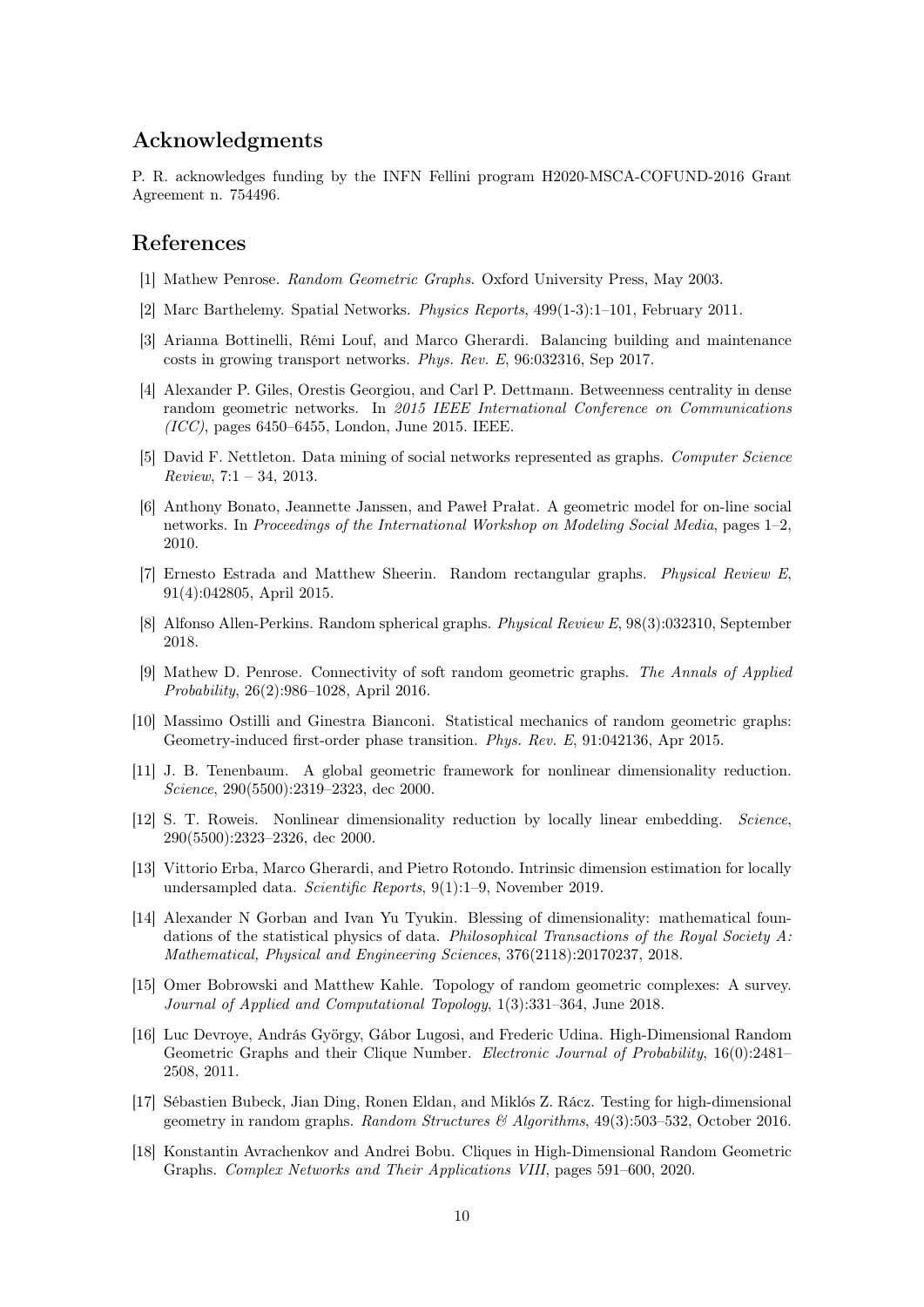## Acknowledgments

P. R. acknowledges funding by the INFN Fellini program H2020-MSCA-COFUND-2016 Grant Agreement n. 754496.

### References

- <span id="page-9-0"></span>[1] Mathew Penrose. Random Geometric Graphs. Oxford University Press, May 2003.
- <span id="page-9-1"></span>[2] Marc Barthelemy. Spatial Networks. Physics Reports, 499(1-3):1–101, February 2011.
- <span id="page-9-2"></span>[3] Arianna Bottinelli, Rémi Louf, and Marco Gherardi. Balancing building and maintenance costs in growing transport networks. Phys. Rev. E, 96:032316, Sep 2017.
- <span id="page-9-3"></span>[4] Alexander P. Giles, Orestis Georgiou, and Carl P. Dettmann. Betweenness centrality in dense random geometric networks. In 2015 IEEE International Conference on Communications  $(ICC)$ , pages 6450–6455, London, June 2015. IEEE.
- <span id="page-9-4"></span>[5] David F. Nettleton. Data mining of social networks represented as graphs. Computer Science  $Review, 7:1 - 34, 2013.$
- <span id="page-9-5"></span>[6] Anthony Bonato, Jeannette Janssen, and Paweł Prałat. A geometric model for on-line social networks. In Proceedings of the International Workshop on Modeling Social Media, pages 1–2, 2010.
- <span id="page-9-6"></span>[7] Ernesto Estrada and Matthew Sheerin. Random rectangular graphs. Physical Review E, 91(4):042805, April 2015.
- <span id="page-9-7"></span>[8] Alfonso Allen-Perkins. Random spherical graphs. Physical Review E, 98(3):032310, September 2018.
- <span id="page-9-8"></span>[9] Mathew D. Penrose. Connectivity of soft random geometric graphs. The Annals of Applied Probability, 26(2):986–1028, April 2016.
- <span id="page-9-9"></span>[10] Massimo Ostilli and Ginestra Bianconi. Statistical mechanics of random geometric graphs: Geometry-induced first-order phase transition. Phys. Rev. E, 91:042136, Apr 2015.
- <span id="page-9-10"></span>[11] J. B. Tenenbaum. A global geometric framework for nonlinear dimensionality reduction. Science, 290(5500):2319–2323, dec 2000.
- <span id="page-9-11"></span>[12] S. T. Roweis. Nonlinear dimensionality reduction by locally linear embedding. Science, 290(5500):2323–2326, dec 2000.
- <span id="page-9-12"></span>[13] Vittorio Erba, Marco Gherardi, and Pietro Rotondo. Intrinsic dimension estimation for locally undersampled data. Scientific Reports, 9(1):1–9, November 2019.
- <span id="page-9-13"></span>[14] Alexander N Gorban and Ivan Yu Tyukin. Blessing of dimensionality: mathematical foundations of the statistical physics of data. Philosophical Transactions of the Royal Society A: Mathematical, Physical and Engineering Sciences, 376(2118):20170237, 2018.
- <span id="page-9-14"></span>[15] Omer Bobrowski and Matthew Kahle. Topology of random geometric complexes: A survey. Journal of Applied and Computational Topology, 1(3):331–364, June 2018.
- <span id="page-9-15"></span>[16] Luc Devroye, András György, Gábor Lugosi, and Frederic Udina. High-Dimensional Random Geometric Graphs and their Clique Number. Electronic Journal of Probability, 16(0):2481– 2508, 2011.
- <span id="page-9-16"></span>[17] Sébastien Bubeck, Jian Ding, Ronen Eldan, and Miklós Z. Rácz. Testing for high-dimensional geometry in random graphs. Random Structures & Algorithms, 49(3):503–532, October 2016.
- <span id="page-9-17"></span>[18] Konstantin Avrachenkov and Andrei Bobu. Cliques in High-Dimensional Random Geometric Graphs. Complex Networks and Their Applications VIII, pages 591–600, 2020.